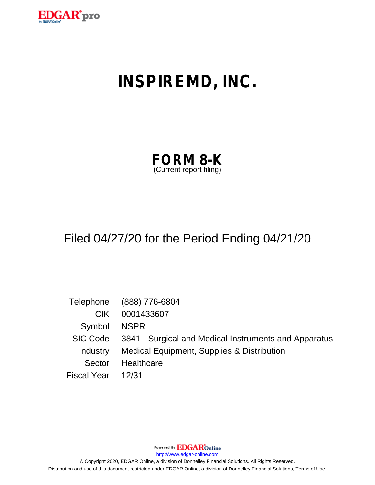

# **INSPIREMD, INC.**

| <b>FORM 8-K</b>         |  |
|-------------------------|--|
| (Current report filing) |  |

# Filed 04/27/20 for the Period Ending 04/21/20

|                    | Telephone (888) 776-6804                                       |
|--------------------|----------------------------------------------------------------|
| CIK.               | 0001433607                                                     |
| Symbol NSPR        |                                                                |
|                    | SIC Code 3841 - Surgical and Medical Instruments and Apparatus |
|                    | Industry Medical Equipment, Supplies & Distribution            |
| Sector             | Healthcare                                                     |
| Fiscal Year  12/31 |                                                                |

Powered By EDGAROnline

http://www.edgar-online.com

© Copyright 2020, EDGAR Online, a division of Donnelley Financial Solutions. All Rights Reserved. Distribution and use of this document restricted under EDGAR Online, a division of Donnelley Financial Solutions, Terms of Use.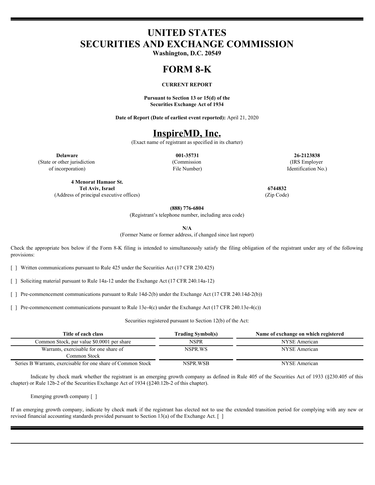## **UNITED STATES SECURITIES AND EXCHANGE COMMISSION**

**Washington, D.C. 20549**

#### **FORM 8-K**

#### **CURRENT REPORT**

**Pursuant to Section 13 or 15(d) of the Securities Exchange Act of 1934**

**Date of Report (Date of earliest event reported):** April 21, 2020

### **InspireMD, Inc.**

(Exact name of registrant as specified in its charter)

(State or other jurisdiction of incorporation)

(Commission File Number)

**Delaware 001-35731 26-2123838** (IRS Employer Identification No.)

**4 Menorat Hamaor St. Tel Aviv, Israel 6744832** (Address of principal executive offices) (Zip Code)

**(888) 776-6804**

(Registrant's telephone number, including area code)

**N/A**

(Former Name or former address, if changed since last report)

Check the appropriate box below if the Form 8-K filing is intended to simultaneously satisfy the filing obligation of the registrant under any of the following provisions:

[ ] Written communications pursuant to Rule 425 under the Securities Act (17 CFR 230.425)

[ ] Soliciting material pursuant to Rule 14a-12 under the Exchange Act (17 CFR 240.14a-12)

[ ] Pre-commencement communications pursuant to Rule 14d-2(b) under the Exchange Act (17 CFR 240.14d-2(b))

[ ] Pre-commencement communications pursuant to Rule 13e-4(c) under the Exchange Act (17 CFR 240.13e-4(c))

Securities registered pursuant to Section 12(b) of the Act:

| Title of each class                                          | Trading Symbol(s) | Name of exchange on which registered |
|--------------------------------------------------------------|-------------------|--------------------------------------|
| Common Stock, par value \$0.0001 per share                   | NSPR              | NYSE American                        |
| Warrants, exercisable for one share of                       | NSPR.WS           | NYSE American                        |
| Common Stock                                                 |                   |                                      |
| Series B Warrants, exercisable for one share of Common Stock | NSPR.WSB          | NYSE American                        |

Indicate by check mark whether the registrant is an emerging growth company as defined in Rule 405 of the Securities Act of 1933 (§230.405 of this chapter) or Rule 12b-2 of the Securities Exchange Act of 1934 (§240.12b-2 of this chapter).

Emerging growth company [ ]

If an emerging growth company, indicate by check mark if the registrant has elected not to use the extended transition period for complying with any new or revised financial accounting standards provided pursuant to Section 13(a) of the Exchange Act.  $\lceil \ \rceil$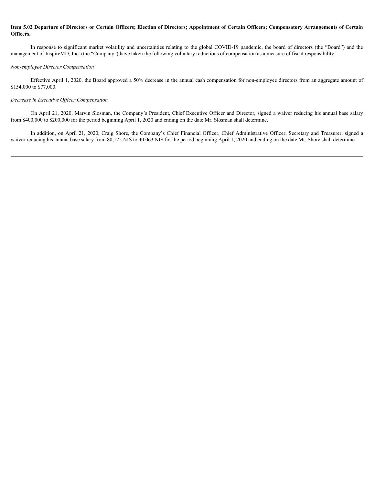#### Item 5.02 Departure of Directors or Certain Officers; Election of Directors; Appointment of Certain Officers; Compensatory Arrangements of Certain **Officers.**

In response to significant market volatility and uncertainties relating to the global COVID-19 pandemic, the board of directors (the "Board") and the management of InspireMD, Inc. (the "Company") have taken the following voluntary reductions of compensation as a measure of fiscal responsibility. **2.** Departure of Directors or Certain Officers; Election of Directors; Appointment of Certain Officers; Compensatory Arrangements of Certain<br>In tesponse to significant market volatility and unecrtainties relating to the g

#### *Non-employee Director Compensation*

Effective April 1, 2020, the Board approved a 50% decrease in the annual cash compensation for non-employee directors from an aggregate amount of \$154,000 to \$77,000.

#### *Decrease in Executive Officer Compensation*

On April 21, 2020, Marvin Slosman, the Company's President, Chief Executive Officer and Director, signed a waiver reducing his annual base salary from \$400,000 to \$200,000 for the period beginning April 1, 2020 and ending on the date Mr. Slosman shall determine.

waiver reducing his annual base salary from 80,125 NIS to 40,063 NIS for the period beginning April 1, 2020 and ending on the date Mr. Shore shall determine.